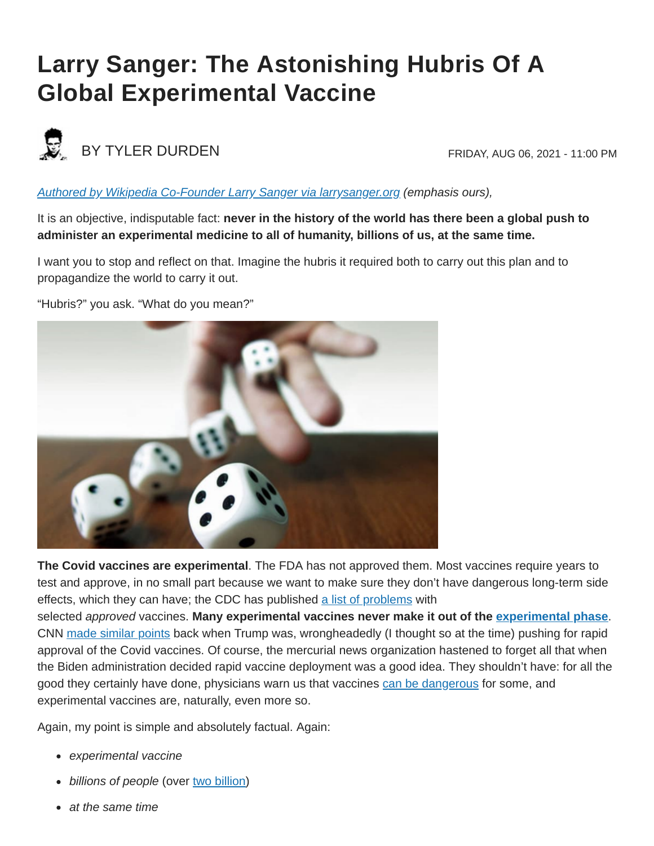## **Larry Sanger: The Astonishing Hubris Of A Global Experimental Vaccine**



## BY TYLER DURDEN FRIDAY, AUG 06, 2021 - 11:00 PM

## *[Authored by Wikipedia Co-Founder Larry Sanger via larrysanger.org](https://larrysanger.org/2021/08/the-astonishing-hubris-of-a-global-experimental-vaccine/) (emphasis ours),*

It is an objective, indisputable fact: **never in the history of the world has there been a global push to administer an experimental medicine to all of humanity, billions of us, at the same time.**

I want you to stop and reflect on that. Imagine the hubris it required both to carry out this plan and to propagandize the world to carry it out.

"Hubris?" you ask. "What do you mean?"



**The Covid vaccines are experimental**. The FDA has not approved them. Most vaccines require years to test and approve, in no small part because we want to make sure they don't have dangerous long-term side effects, which they can have; the CDC has published [a list of problems](https://www.cdc.gov/vaccinesafety/concerns/concerns-history.html) with

selected *approved* vaccines. **Many experimental vaccines never make it out of the [experimental phase](https://www.weforum.org/agenda/2020/06/vaccine-development-barriers-coronavirus/)**. CNN [made similar points](https://www.cnn.com/2020/09/01/health/eua-coronavirus-vaccine-history/index.html) back when Trump was, wrongheadedly (I thought so at the time) pushing for rapid approval of the Covid vaccines. Of course, the mercurial news organization hastened to forget all that when the Biden administration decided rapid vaccine deployment was a good idea. They shouldn't have: for all the good they certainly have done, physicians warn us that vaccines [can be dangerous](https://www.historyofvaccines.org/content/articles/vaccine-side-effects-and-adverse-events) for some, and experimental vaccines are, naturally, even more so.

Again, my point is simple and absolutely factual. Again:

- *experimental vaccine*
- billions of people (over [two billion](https://ourworldindata.org/covid-vaccinations))
- *at the same time*